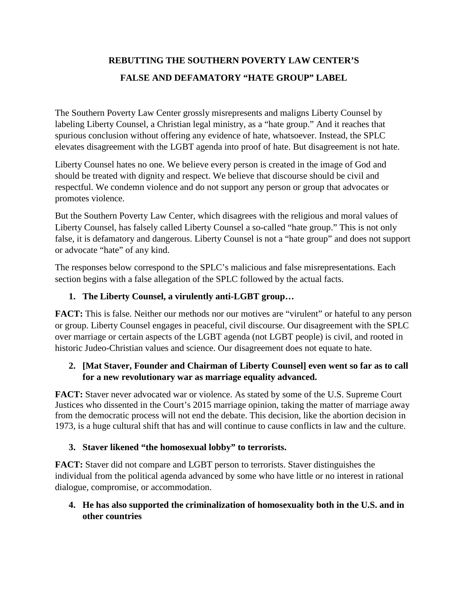# **REBUTTING THE SOUTHERN POVERTY LAW CENTER'S FALSE AND DEFAMATORY "HATE GROUP" LABEL**

The Southern Poverty Law Center grossly misrepresents and maligns Liberty Counsel by labeling Liberty Counsel, a Christian legal ministry, as a "hate group." And it reaches that spurious conclusion without offering any evidence of hate, whatsoever. Instead, the SPLC elevates disagreement with the LGBT agenda into proof of hate. But disagreement is not hate.

Liberty Counsel hates no one. We believe every person is created in the image of God and should be treated with dignity and respect. We believe that discourse should be civil and respectful. We condemn violence and do not support any person or group that advocates or promotes violence.

But the Southern Poverty Law Center, which disagrees with the religious and moral values of Liberty Counsel, has falsely called Liberty Counsel a so-called "hate group." This is not only false, it is defamatory and dangerous. Liberty Counsel is not a "hate group" and does not support or advocate "hate" of any kind.

The responses below correspond to the SPLC's malicious and false misrepresentations. Each section begins with a false allegation of the SPLC followed by the actual facts.

# **1. The Liberty Counsel, a virulently anti-LGBT group…**

**FACT:** This is false. Neither our methods nor our motives are "virulent" or hateful to any person or group. Liberty Counsel engages in peaceful, civil discourse. Our disagreement with the SPLC over marriage or certain aspects of the LGBT agenda (not LGBT people) is civil, and rooted in historic Judeo-Christian values and science. Our disagreement does not equate to hate.

# **2. [Mat Staver, Founder and Chairman of Liberty Counsel] even went so far as to call for a new revolutionary war as marriage equality advanced.**

**FACT:** Staver never advocated war or violence. As stated by some of the U.S. Supreme Court Justices who dissented in the Court's 2015 marriage opinion, taking the matter of marriage away from the democratic process will not end the debate. This decision, like the abortion decision in 1973, is a huge cultural shift that has and will continue to cause conflicts in law and the culture.

# **3. Staver likened "the homosexual lobby" to terrorists.**

**FACT:** Staver did not compare and LGBT person to terrorists. Staver distinguishes the individual from the political agenda advanced by some who have little or no interest in rational dialogue, compromise, or accommodation.

# **4. He has also supported the criminalization of homosexuality both in the U.S. and in other countries**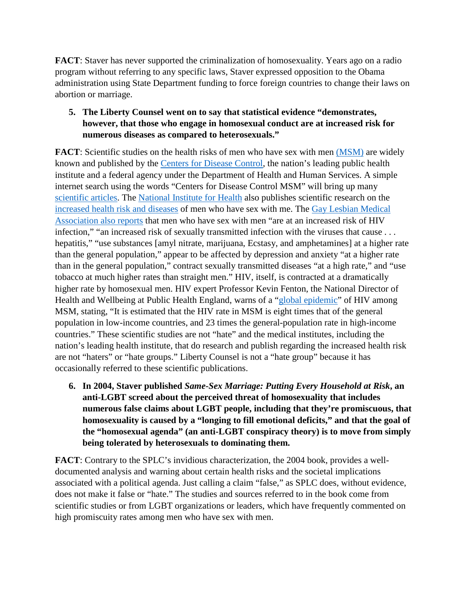**FACT**: Staver has never supported the criminalization of homosexuality. Years ago on a radio program without referring to any specific laws, Staver expressed opposition to the Obama administration using State Department funding to force foreign countries to change their laws on abortion or marriage.

#### **5. The Liberty Counsel went on to say that statistical evidence "demonstrates, however, that those who engage in homosexual conduct are at increased risk for numerous diseases as compared to heterosexuals."**

**FACT**: Scientific studies on the health risks of men who have sex with men [\(MSM\)](https://www.cdc.gov/hiv/group/msm/index.html) are widely known and published by the [Centers for Disease Control,](https://www.cdc.gov/) the nation's leading public health institute and a federal agency under the Department of Health and Human Services. A simple internet search using the words "Centers for Disease Control MSM" will bring up many [scientific articles.](https://www.cdc.gov/msmhealth/index.htm) The [National Institute for Health](https://www.nih.gov/) also publishes scientific research on the [increased health risk and diseases](https://www.ncbi.nlm.nih.gov/pmc/articles/PMC4034619/) of men who have sex with me. The [Gay Lesbian Medical](http://glma.org/index.cfm?fuseaction=Page.viewPage&pageID=690)  [Association also reports](http://glma.org/index.cfm?fuseaction=Page.viewPage&pageID=690) that men who have sex with men "are at an increased risk of HIV infection," "an increased risk of sexually transmitted infection with the viruses that cause . . . hepatitis," "use substances [amyl nitrate, marijuana, Ecstasy, and amphetamines] at a higher rate than the general population," appear to be affected by depression and anxiety "at a higher rate than in the general population," contract sexually transmitted diseases "at a high rate," and "use tobacco at much higher rates than straight men." HIV, itself, is contracted at a dramatically higher rate by homosexual men. HIV expert Professor Kevin Fenton, the National Director of Health and Wellbeing at Public Health England, warns of a ["global epidemic"](http://www.aidsmap.com/Urgent-need-to-address-resurgent-gay-global-epidemic-says-English-public-health-chief/page/2805378/) of HIV among MSM, stating, "It is estimated that the HIV rate in MSM is eight times that of the general population in low-income countries, and 23 times the general-population rate in high-income countries." These scientific studies are not "hate" and the medical institutes, including the nation's leading health institute, that do research and publish regarding the increased health risk are not "haters" or "hate groups." Liberty Counsel is not a "hate group" because it has occasionally referred to these scientific publications.

**6. In 2004, Staver published** *Same-Sex Marriage: Putting Every Household at Risk***, an anti-LGBT screed about the perceived threat of homosexuality that includes numerous false claims about LGBT people, including that they're promiscuous, that homosexuality is caused by a "longing to fill emotional deficits," and that the goal of the "homosexual agenda" (an anti-LGBT conspiracy theory) is to move from simply being tolerated by heterosexuals to dominating them.**

**FACT**: Contrary to the SPLC's invidious characterization, the 2004 book, provides a welldocumented analysis and warning about certain health risks and the societal implications associated with a political agenda. Just calling a claim "false," as SPLC does, without evidence, does not make it false or "hate." The studies and sources referred to in the book come from scientific studies or from LGBT organizations or leaders, which have frequently commented on high promiscuity rates among men who have sex with men.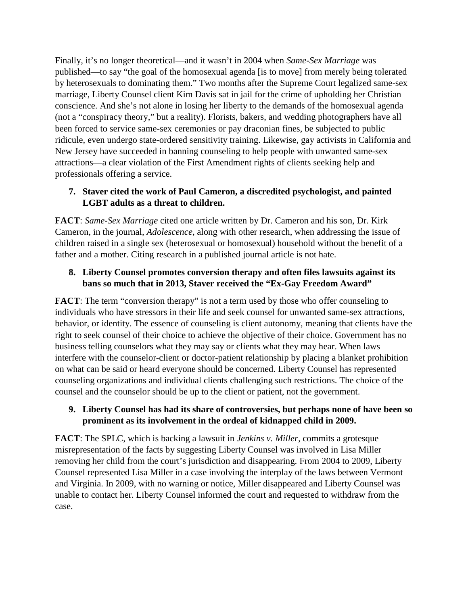Finally, it's no longer theoretical—and it wasn't in 2004 when *Same-Sex Marriage* was published—to say "the goal of the homosexual agenda [is to move] from merely being tolerated by heterosexuals to dominating them." Two months after the Supreme Court legalized same-sex marriage, Liberty Counsel client Kim Davis sat in jail for the crime of upholding her Christian conscience. And she's not alone in losing her liberty to the demands of the homosexual agenda (not a "conspiracy theory," but a reality). Florists, bakers, and wedding photographers have all been forced to service same-sex ceremonies or pay draconian fines, be subjected to public ridicule, even undergo state-ordered sensitivity training. Likewise, gay activists in California and New Jersey have succeeded in banning counseling to help people with unwanted same-sex attractions—a clear violation of the First Amendment rights of clients seeking help and professionals offering a service.

## **7. Staver cited the work of Paul Cameron, a discredited psychologist, and painted LGBT adults as a threat to children.**

**FACT**: *Same-Sex Marriage* cited one article written by Dr. Cameron and his son, Dr. Kirk Cameron, in the journal, *Adolescence*, along with other research, when addressing the issue of children raised in a single sex (heterosexual or homosexual) household without the benefit of a father and a mother. Citing research in a published journal article is not hate.

## **8. Liberty Counsel promotes conversion therapy and often files lawsuits against its bans so much that in 2013, Staver received the "Ex-Gay Freedom Award"**

**FACT**: The term "conversion therapy" is not a term used by those who offer counseling to individuals who have stressors in their life and seek counsel for unwanted same-sex attractions, behavior, or identity. The essence of counseling is client autonomy, meaning that clients have the right to seek counsel of their choice to achieve the objective of their choice. Government has no business telling counselors what they may say or clients what they may hear. When laws interfere with the counselor-client or doctor-patient relationship by placing a blanket prohibition on what can be said or heard everyone should be concerned. Liberty Counsel has represented counseling organizations and individual clients challenging such restrictions. The choice of the counsel and the counselor should be up to the client or patient, not the government.

# **9. Liberty Counsel has had its share of controversies, but perhaps none of have been so prominent as its involvement in the ordeal of kidnapped child in 2009.**

**FACT**: The SPLC, which is backing a lawsuit in *Jenkins v. Miller,* commits a grotesque misrepresentation of the facts by suggesting Liberty Counsel was involved in Lisa Miller removing her child from the court's jurisdiction and disappearing. From 2004 to 2009, Liberty Counsel represented Lisa Miller in a case involving the interplay of the laws between Vermont and Virginia. In 2009, with no warning or notice, Miller disappeared and Liberty Counsel was unable to contact her. Liberty Counsel informed the court and requested to withdraw from the case.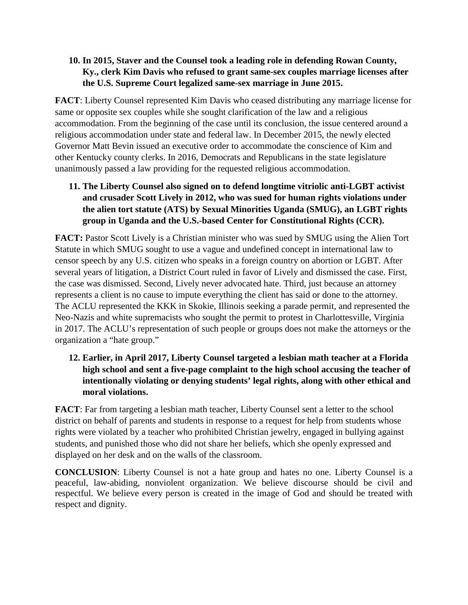#### **10. In 2015, Staver and the Counsel took a leading role in defending Rowan County, Ky., clerk Kim Davis who refused to grant same-sex couples marriage licenses after the U.S. Supreme Court legalized same-sex marriage in June 2015.**

**FACT**: Liberty Counsel represented Kim Davis who ceased distributing any marriage license for same or opposite sex couples while she sought clarification of the law and a religious accommodation. From the beginning of the case until its conclusion, the issue centered around a religious accommodation under state and federal law. In December 2015, the newly elected Governor Matt Bevin issued an executive order to accommodate the conscience of Kim and other Kentucky county clerks. In 2016, Democrats and Republicans in the state legislature unanimously passed a law providing for the requested religious accommodation.

# **11. The Liberty Counsel also signed on to defend longtime vitriolic anti-LGBT activist and crusader Scott Lively in 2012, who was sued for human rights violations under the alien tort statute (ATS) by Sexual Minorities Uganda (SMUG), an LGBT rights group in Uganda and the U.S.-based Center for Constitutional Rights (CCR).**

**FACT:** Pastor Scott Lively is a Christian minister who was sued by SMUG using the Alien Tort Statute in which SMUG sought to use a vague and undefined concept in international law to censor speech by any U.S. citizen who speaks in a foreign country on abortion or LGBT. After several years of litigation, a District Court ruled in favor of Lively and dismissed the case. First, the case was dismissed. Second, Lively never advocated hate. Third, just because an attorney represents a client is no cause to impute everything the client has said or done to the attorney. The ACLU represented the KKK in Skokie, Illinois seeking a parade permit, and represented the Neo-Nazis and white supremacists who sought the permit to protest in Charlottesville, Virginia in 2017. The ACLU's representation of such people or groups does not make the attorneys or the organization a "hate group."

# **12. Earlier, in April 2017, Liberty Counsel targeted a lesbian math teacher at a Florida high school and sent a five-page complaint to the high school accusing the teacher of intentionally violating or denying students' legal rights, along with other ethical and moral violations.**

**FACT**: Far from targeting a lesbian math teacher, Liberty Counsel sent a letter to the school district on behalf of parents and students in response to a request for help from students whose rights were violated by a teacher who prohibited Christian jewelry, engaged in bullying against students, and punished those who did not share her beliefs, which she openly expressed and displayed on her desk and on the walls of the classroom.

**CONCLUSION**: Liberty Counsel is not a hate group and hates no one. Liberty Counsel is a peaceful, law-abiding, nonviolent organization. We believe discourse should be civil and respectful. We believe every person is created in the image of God and should be treated with respect and dignity.